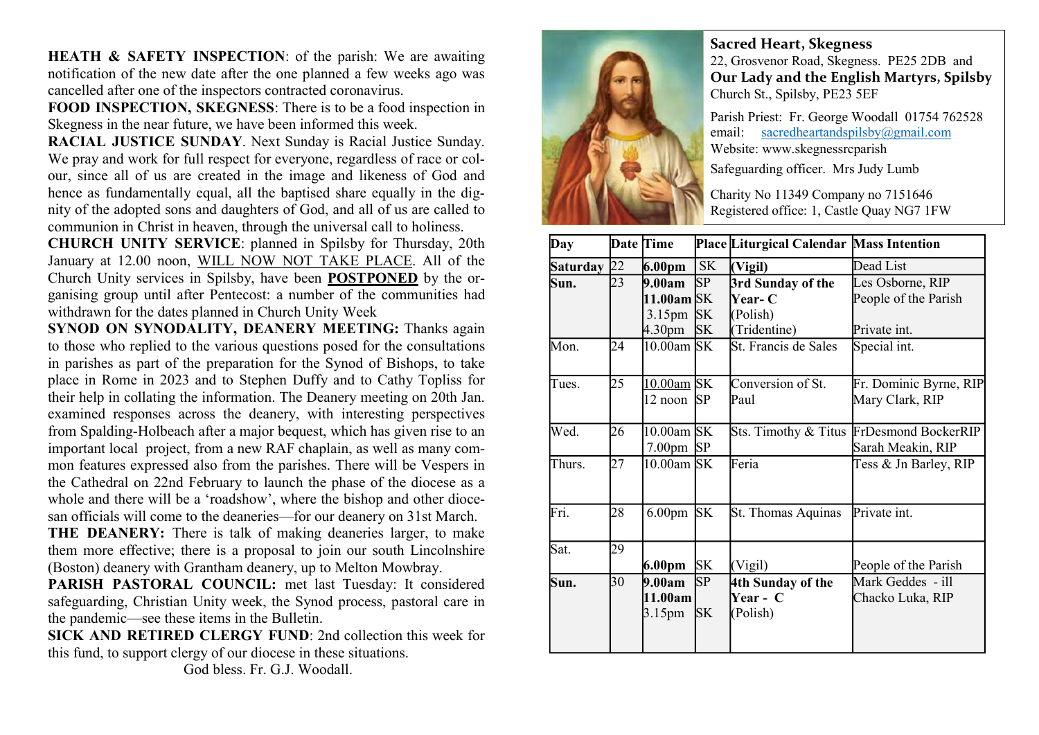HEATH & SAFETY INSPECTION: of the parish: We are awaiting notification of the new date after the one planned a few weeks ago was cancelled after one of the inspectors contracted coronavirus.

FOOD INSPECTION, SKEGNESS: There is to be a food inspection in Skegness in the near future, we have been informed this week.

RACIAL JUSTICE SUNDAY. Next Sunday is Racial Justice Sunday. We pray and work for full respect for everyone, regardless of race or colour, since all of us are created in the image and likeness of God and hence as fundamentally equal, all the baptised share equally in the dignity of the adopted sons and daughters of God, and all of us are called to communion in Christ in heaven, through the universal call to holiness.

CHURCH UNITY SERVICE: planned in Spilsby for Thursday, 20th January at 12.00 noon, WILL NOW NOT TAKE PLACE. All of the Church Unity services in Spilsby, have been POSTPONED by the organising group until after Pentecost: a number of the communities had withdrawn for the dates planned in Church Unity Week

SYNOD ON SYNODALITY, DEANERY MEETING: Thanks again to those who replied to the various questions posed for the consultations in parishes as part of the preparation for the Synod of Bishops, to take place in Rome in 2023 and to Stephen Duffy and to Cathy Topliss for their help in collating the information. The Deanery meeting on 20th Jan. examined responses across the deanery, with interesting perspectives from Spalding-Holbeach after a major bequest, which has given rise to an important local project, from a new RAF chaplain, as well as many common features expressed also from the parishes. There will be Vespers in the Cathedral on 22nd February to launch the phase of the diocese as a whole and there will be a 'roadshow', where the bishop and other diocesan officials will come to the deaneries—for our deanery on 31st March. THE DEANERY: There is talk of making deaneries larger, to make them more effective; there is a proposal to join our south Lincolnshire

(Boston) deanery with Grantham deanery, up to Melton Mowbray.

PARISH PASTORAL COUNCIL: met last Tuesday: It considered safeguarding, Christian Unity week, the Synod process, pastoral care in the pandemic—see these items in the Bulletin.

SICK AND RETIRED CLERGY FUND: 2nd collection this week for this fund, to support clergy of our diocese in these situations.

God bless. Fr. G.J. Woodall.



Sacred Heart, Skegness

22, Grosvenor Road, Skegness. PE25 2DB and Our Lady and the English Martyrs, Spilsby Church St., Spilsby, PE23 5EF

Parish Priest: Fr. George Woodall 01754 762528 email: sacredheartandspilsby@gmail.com Website: www.skegnessrcparish

Safeguarding officer. Mrs Judy Lumb

Charity No 11349 Company no 7151646 Registered office: 1, Castle Quay NG7 1FW

| Day             |    | Date Time           |           | Place Liturgical Calendar Mass Intention |                                          |
|-----------------|----|---------------------|-----------|------------------------------------------|------------------------------------------|
| <b>Saturday</b> | 22 | 6.00 <sub>pm</sub>  | SK        | (Vigil)                                  | Dead List                                |
| Sun.            | 23 | 9.00am              | SP        | 3rd Sunday of the                        | Les Osborne, RIP                         |
|                 |    | 11.00am SK          |           | <b>Year-</b> C                           | People of the Parish                     |
|                 |    | 3.15 <sub>pm</sub>  | <b>SK</b> | (Polish)                                 |                                          |
|                 |    | 4.30 <sub>pm</sub>  | <b>SK</b> | (Tridentine)                             | Private int.                             |
| Mon.            | 24 | $10.00$ am SK       |           | St. Francis de Sales                     | Special int.                             |
| Tues.           | 25 | 10.00am SK          |           | Conversion of St.                        | Fr. Dominic Byrne, RIP                   |
|                 |    | 12 noon             | <b>SP</b> | Paul                                     | Mary Clark, RIP                          |
| Wed.            | 26 | $10.00$ am SK       |           |                                          | Sts. Timothy & Titus FrDesmond BockerRIP |
|                 |    | $7.00 \text{pm}$ SP |           |                                          | Sarah Meakin, RIP                        |
| Thurs.          | 27 | 10.00am SK          |           | Feria                                    | Tess & Jn Barley, RIP                    |
| Fri.            | 28 | 6.00 <sub>pm</sub>  | <b>SK</b> | St. Thomas Aquinas                       | Private int.                             |
| Sat.            | 29 |                     |           |                                          |                                          |
|                 |    | 6.00pm              | <b>SK</b> | (Vigil)                                  | People of the Parish                     |
| Sun.            | 30 | 9.00am              | <b>SP</b> | 4th Sunday of the                        | Mark Geddes - ill                        |
|                 |    | 11.00am             |           | Year - C                                 | Chacko Luka, RIP                         |
|                 |    | 3.15 <sub>pm</sub>  | <b>SK</b> | (Polish)                                 |                                          |
|                 |    |                     |           |                                          |                                          |